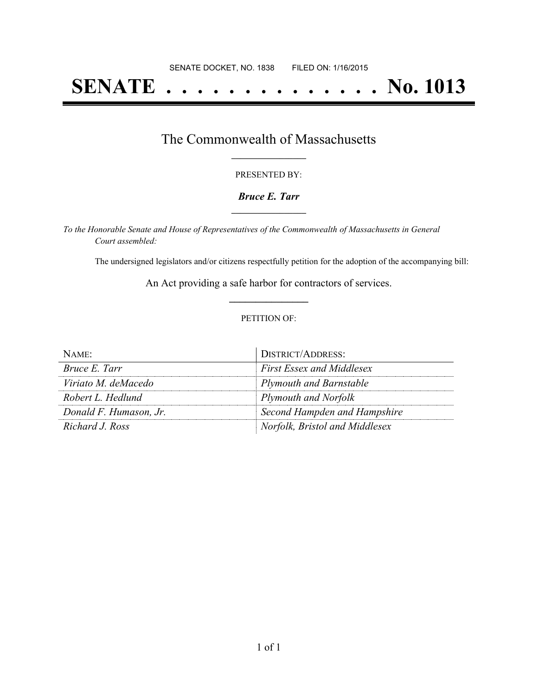# **SENATE . . . . . . . . . . . . . . No. 1013**

### The Commonwealth of Massachusetts **\_\_\_\_\_\_\_\_\_\_\_\_\_\_\_\_\_**

#### PRESENTED BY:

#### *Bruce E. Tarr* **\_\_\_\_\_\_\_\_\_\_\_\_\_\_\_\_\_**

*To the Honorable Senate and House of Representatives of the Commonwealth of Massachusetts in General Court assembled:*

The undersigned legislators and/or citizens respectfully petition for the adoption of the accompanying bill:

An Act providing a safe harbor for contractors of services. **\_\_\_\_\_\_\_\_\_\_\_\_\_\_\_**

#### PETITION OF:

| $N$ AME:               | DISTRICT/ADDRESS:                |
|------------------------|----------------------------------|
| Bruce E. Tarr          | <b>First Essex and Middlesex</b> |
| Viriato M. deMacedo    | <b>Plymouth and Barnstable</b>   |
| Robert L. Hedlund      | <b>Plymouth and Norfolk</b>      |
| Donald F. Humason, Jr. | Second Hampden and Hampshire     |
| Richard J. Ross        | Norfolk, Bristol and Middlesex   |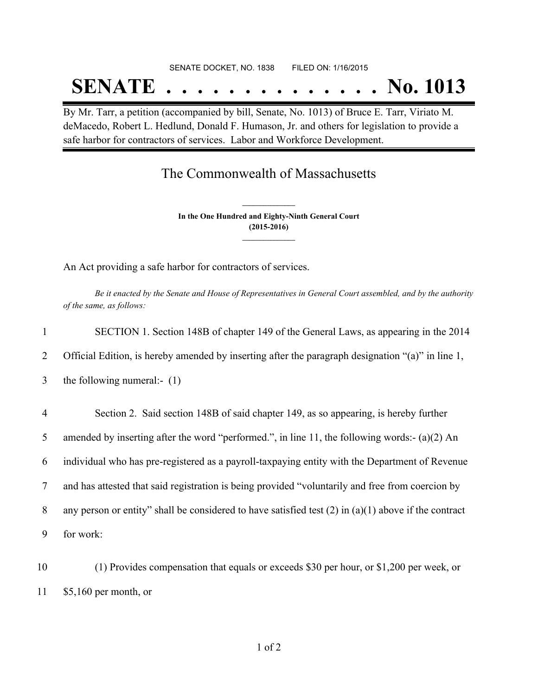# SENATE DOCKET, NO. 1838 FILED ON: 1/16/2015 **SENATE . . . . . . . . . . . . . . No. 1013**

By Mr. Tarr, a petition (accompanied by bill, Senate, No. 1013) of Bruce E. Tarr, Viriato M. deMacedo, Robert L. Hedlund, Donald F. Humason, Jr. and others for legislation to provide a safe harbor for contractors of services. Labor and Workforce Development.

## The Commonwealth of Massachusetts

**In the One Hundred and Eighty-Ninth General Court (2015-2016) \_\_\_\_\_\_\_\_\_\_\_\_\_\_\_**

**\_\_\_\_\_\_\_\_\_\_\_\_\_\_\_**

An Act providing a safe harbor for contractors of services.

Be it enacted by the Senate and House of Representatives in General Court assembled, and by the authority *of the same, as follows:*

| $\mathbf{1}$   | SECTION 1. Section 148B of chapter 149 of the General Laws, as appearing in the 2014                     |
|----------------|----------------------------------------------------------------------------------------------------------|
| 2              | Official Edition, is hereby amended by inserting after the paragraph designation "(a)" in line 1,        |
| 3              | the following numeral:- $(1)$                                                                            |
| $\overline{4}$ | Section 2. Said section 148B of said chapter 149, as so appearing, is hereby further                     |
| 5              | amended by inserting after the word "performed.", in line 11, the following words:- $(a)(2)$ An          |
| 6              | individual who has pre-registered as a payroll-taxpaying entity with the Department of Revenue           |
| 7              | and has attested that said registration is being provided "voluntarily and free from coercion by         |
| 8              | any person or entity" shall be considered to have satisfied test $(2)$ in $(a)(1)$ above if the contract |
| 9              | for work:                                                                                                |
| $\sim$         |                                                                                                          |

10 (1) Provides compensation that equals or exceeds \$30 per hour, or \$1,200 per week, or 11 \$5,160 per month, or